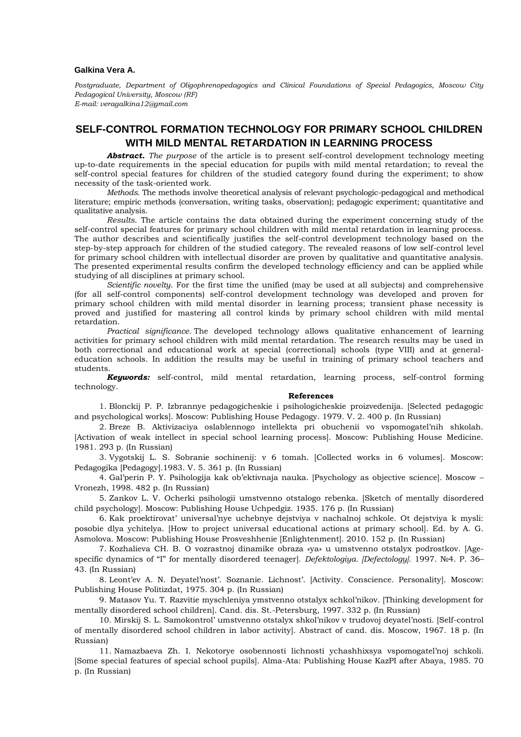## **Galkina Vera A.**

*Postgraduate, Department of Oligophrenopedagogics and Clinical Foundations of Special Pedagogics, Moscow City Pedagogical University, Moscow (RF) E-mail: veragalkina12@gmail.com*

## **SELF-CONTROL FORMATION TECHNOLOGY FOR PRIMARY SCHOOL CHILDREN WITH MILD MENTAL RETARDATION IN LEARNING PROCESS**

*Abstract. The purpose* of the article is to present self-control development technology meeting up-to-date requirements in the special education for pupils with mild mental retardation; to reveal the self-control special features for children of the studied category found during the experiment; to show necessity of the task-oriented work.

*Methods.* The methods involve theoretical analysis of relevant psychologic-pedagogical and methodical literature; empiric methods (conversation, writing tasks, observation); pedagogic experiment; quantitative and qualitative analysis.

*Results*. The article contains the data obtained during the experiment concerning study of the self-control special features for primary school children with mild mental retardation in learning process. The author describes and scientifically justifies the self-control development technology based on the step-by-step approach for children of the studied category. The revealed reasons of low self-control level for primary school children with intellectual disorder are proven by qualitative and quantitative analysis. The presented experimental results confirm the developed technology efficiency and can be applied while studying of all disciplines at primary school.

*Scientific novelty*. For the first time the unified (may be used at all subjects) and comprehensive (for all self-control components) self-control development technology was developed and proven for primary school children with mild mental disorder in learning process; transient phase necessity is proved and justified for mastering all control kinds by primary school children with mild mental retardation.

*Practical significance.* The developed technology allows qualitative enhancement of learning activities for primary school children with mild mental retardation. The research results may be used in both correctional and educational work at special (correctional) schools (type VIII) and at generaleducation schools. In addition the results may be useful in training of primary school teachers and students.

*Keywords:* self-control, mild mental retardation, learning process, self-control forming technology.

## **References**

1. Blonckij P. P. Izbrannye pedagogicheskie i psihologicheskie proizvedenija. [Selected pedagogic and psychological works]. Moscow: Publishing House Pedagogy. 1979. V. 2. 400 p. (In Russian)

2. Breze B. Aktivizaciya oslablennogo intellekta pri obuchenii vo vspomogatel'nih shkolah. [Activation of weak intellect in special school learning process]. Moscow: Publishing House Medicine. 1981. 293 p. (In Russian)

3. Vygotskij L. S. Sobranie sochinenij: v 6 tomah. [Collected works in 6 volumes]. Moscow: Pedagogika [Pedagogy].1983. V. 5. 361 p. (In Russian)

4. Gal'perin P. Y. Psihologija kak ob'ektivnaja nauka. [Psychology as objective science]. Moscow – Vronezh, 1998. 482 p. (In Russian)

5. Zankov L. V. Ocherki psihologii umstvenno otstalogo rebenka. [Sketch of mentally disordered child psychology]. Moscow: Publishing House Uchpedgiz. 1935. 176 p. (In Russian)

6. Kak proektirovat' universal'nye uchebnye dejstviya v nachalnoj schkole. Ot dejstviya k mysli: posobie dlya ychitelya. [How to project universal educational actions at primary school]. Ed. by A. G. Asmolova. Moscow: Publishing House Prosveshhenie [Enlightenment]. 2010. 152 p. (In Russian)

7. Kozhalieva CH. B. O vozrastnoj dinamike obraza «ya» u umstvenno otstalyx podrostkov. [Agespecific dynamics of "I" for mentally disordered teenager]. *Defektologiya. [Defectology].* 1997. №4. P. 36– 43. (In Russian)

8. Leont'ev A. N. Deyatel'nost'. Soznanie. Lichnost'. [Activity. Conscience. Personality]. Moscow: Publishing House Politizdat, 1975. 304 p. (In Russian)

9. Matasov Yu. T. Razvitie myschleniya ymstvenno otstalyx schkol'nikov. [Thinking development for mentally disordered school children]. Cand. dis. St.-Petersburg, 1997. 332 p. (In Russian)

10. Mirskij S. L. Samokontrol' umstvenno otstalyx shkol'nikov v trudovoj deyatel'nosti. [Self-control of mentally disordered school children in labor activity]. Abstract of cand. dis. Moscow, 1967. 18 p. (In Russian)

11. Namazbaeva Zh. I. Nekotorye osobennosti lichnosti ychashhixsya vspomogatel'noj schkoli. [Some special features of special school pupils]. Alma-Ata: Publishing House KazPI after Abaya, 1985. 70 p. (In Russian)